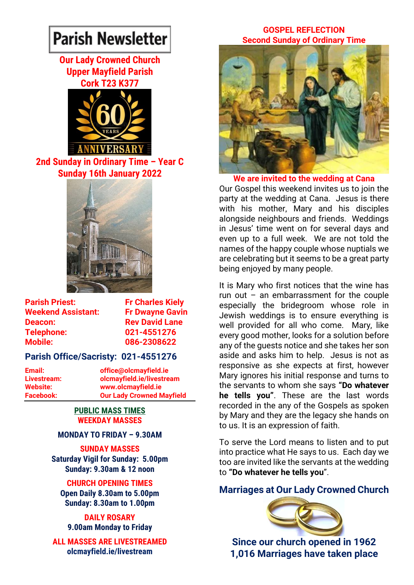# **Parish Newsletter**

# **Our Lady Crowned Church Upper Mayfield Parish Cork T23 K377**



**2nd Sunday in Ordinary Time – Year C Sunday 16th January 2022**



**Parish Priest:** Fr Charles Kiely **Weekend Assistant: Fr Dwayne Gavin Deacon:** Rev David Lane **Telephone: 021-4551276 Mobile: 086-2308622** 

# **Parish Office/Sacristy: 021-4551276**

**Email: office@olcmayfield.ie Livestream: olcmayfield.ie/livestream Website: www.olcmayfield.ie Facebook: Our Lady Crowned Mayfield**

#### **PUBLIC MASS TIMES WEEKDAY MASSES**

## **MONDAY TO FRIDAY – 9.30AM**

**SUNDAY MASSES Saturday Vigil for Sunday: 5.00pm Sunday: 9.30am & 12 noon**

## **CHURCH OPENING TIMES**

**Open Daily 8.30am to 5.00pm Sunday: 8.30am to 1.00pm** 

**DAILY ROSARY 9.00am Monday to Friday**

**ALL MASSES ARE LIVESTREAMED olcmayfield.ie/livestream**

## **GOSPEL REFLECTION Second Sunday of Ordinary Time**



**We are invited to the wedding at Cana** Our Gospel this weekend invites us to join the party at the wedding at Cana. Jesus is there with his mother, Mary and his disciples alongside neighbours and friends. Weddings in Jesus' time went on for several days and even up to a full week. We are not told the names of the happy couple whose nuptials we are celebrating but it seems to be a great party being enjoyed by many people.

It is Mary who first notices that the wine has run out  $-$  an embarrassment for the couple especially the bridegroom whose role in Jewish weddings is to ensure everything is well provided for all who come. Mary, like every good mother, looks for a solution before any of the guests notice and she takes her son aside and asks him to help. Jesus is not as responsive as she expects at first, however Mary ignores his initial response and turns to the servants to whom she says **"Do whatever he tells you"**. These are the last words recorded in the any of the Gospels as spoken by Mary and they are the legacy she hands on to us. It is an expression of faith.

To serve the Lord means to listen and to put into practice what He says to us. Each day we too are invited like the servants at the wedding to **"Do whatever he tells you**".

# **Marriages at Our Lady Crowned Church**



**Since our church opened in 1962 1,016 Marriages have taken place**